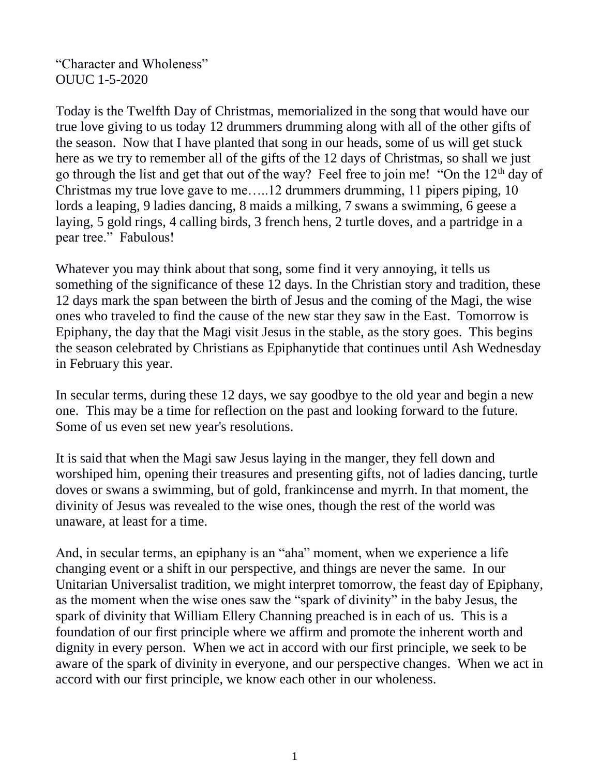"Character and Wholeness" OUUC 1-5-2020

Today is the Twelfth Day of Christmas, memorialized in the song that would have our true love giving to us today 12 drummers drumming along with all of the other gifts of the season. Now that I have planted that song in our heads, some of us will get stuck here as we try to remember all of the gifts of the 12 days of Christmas, so shall we just go through the list and get that out of the way? Feel free to join me! "On the 12<sup>th</sup> day of Christmas my true love gave to me…..12 drummers drumming, 11 pipers piping, 10 lords a leaping, 9 ladies dancing, 8 maids a milking, 7 swans a swimming, 6 geese a laying, 5 gold rings, 4 calling birds, 3 french hens, 2 turtle doves, and a partridge in a pear tree." Fabulous!

Whatever you may think about that song, some find it very annoying, it tells us something of the significance of these 12 days. In the Christian story and tradition, these 12 days mark the span between the birth of Jesus and the coming of the Magi, the wise ones who traveled to find the cause of the new star they saw in the East. Tomorrow is Epiphany, the day that the Magi visit Jesus in the stable, as the story goes. This begins the season celebrated by Christians as Epiphanytide that continues until Ash Wednesday in February this year.

In secular terms, during these 12 days, we say goodbye to the old year and begin a new one. This may be a time for reflection on the past and looking forward to the future. Some of us even set new year's resolutions.

It is said that when the Magi saw Jesus laying in the manger, they fell down and worshiped him, opening their treasures and presenting gifts, not of ladies dancing, turtle doves or swans a swimming, but of gold, frankincense and myrrh. In that moment, the divinity of Jesus was revealed to the wise ones, though the rest of the world was unaware, at least for a time.

And, in secular terms, an epiphany is an "aha" moment, when we experience a life changing event or a shift in our perspective, and things are never the same. In our Unitarian Universalist tradition, we might interpret tomorrow, the feast day of Epiphany, as the moment when the wise ones saw the "spark of divinity" in the baby Jesus, the spark of divinity that William Ellery Channing preached is in each of us. This is a foundation of our first principle where we affirm and promote the inherent worth and dignity in every person. When we act in accord with our first principle, we seek to be aware of the spark of divinity in everyone, and our perspective changes. When we act in accord with our first principle, we know each other in our wholeness.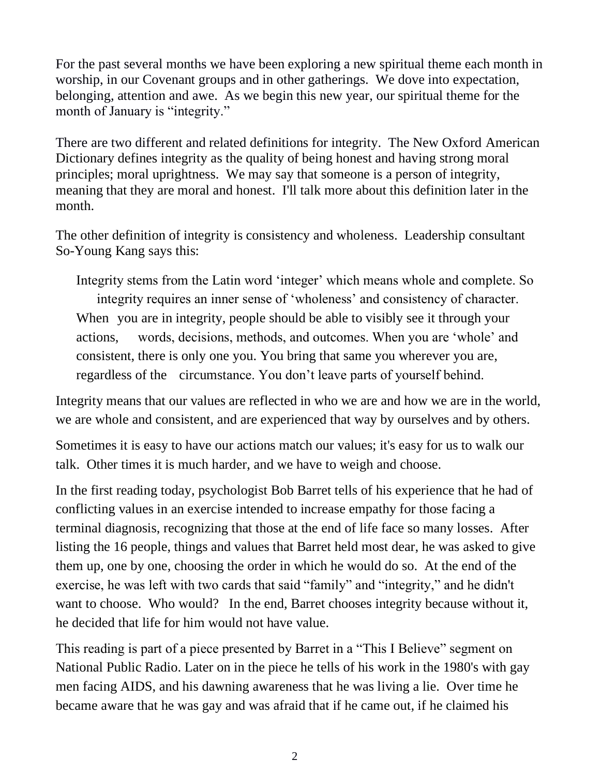For the past several months we have been exploring a new spiritual theme each month in worship, in our Covenant groups and in other gatherings. We dove into expectation, belonging, attention and awe. As we begin this new year, our spiritual theme for the month of January is "integrity."

There are two different and related definitions for integrity. The New Oxford American Dictionary defines integrity as the quality of being honest and having strong moral principles; moral uprightness. We may say that someone is a person of integrity, meaning that they are moral and honest. I'll talk more about this definition later in the month.

The other definition of integrity is consistency and wholeness. Leadership consultant So-Young Kang says this:

Integrity stems from the Latin word 'integer' which means whole and complete. So integrity requires an inner sense of 'wholeness' and consistency of character. When you are in integrity, people should be able to visibly see it through your actions, words, decisions, methods, and outcomes. When you are 'whole' and consistent, there is only one you. You bring that same you wherever you are, regardless of the circumstance. You don't leave parts of yourself behind.

Integrity means that our values are reflected in who we are and how we are in the world, we are whole and consistent, and are experienced that way by ourselves and by others.

Sometimes it is easy to have our actions match our values; it's easy for us to walk our talk. Other times it is much harder, and we have to weigh and choose.

In the first reading today, psychologist Bob Barret tells of his experience that he had of conflicting values in an exercise intended to increase empathy for those facing a terminal diagnosis, recognizing that those at the end of life face so many losses. After listing the 16 people, things and values that Barret held most dear, he was asked to give them up, one by one, choosing the order in which he would do so. At the end of the exercise, he was left with two cards that said "family" and "integrity," and he didn't want to choose. Who would? In the end, Barret chooses integrity because without it, he decided that life for him would not have value.

This reading is part of a piece presented by Barret in a "This I Believe" segment on National Public Radio. Later on in the piece he tells of his work in the 1980's with gay men facing AIDS, and his dawning awareness that he was living a lie. Over time he became aware that he was gay and was afraid that if he came out, if he claimed his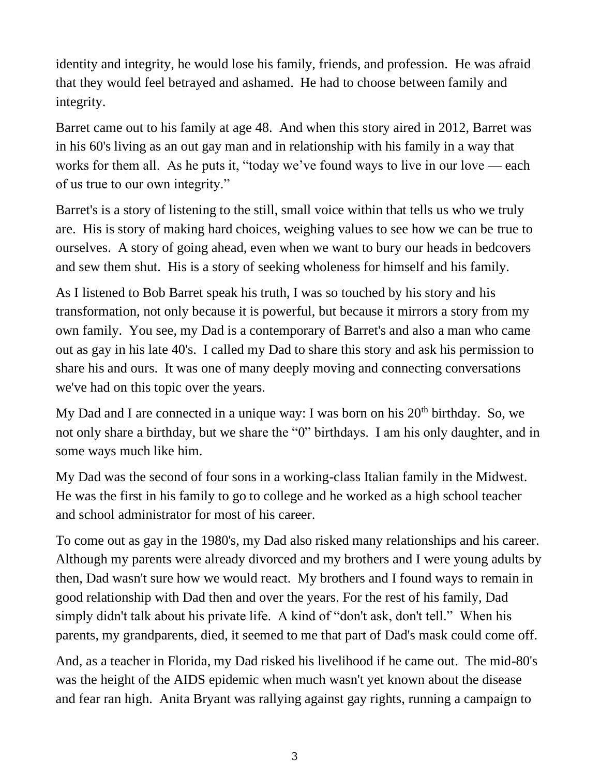identity and integrity, he would lose his family, friends, and profession. He was afraid that they would feel betrayed and ashamed. He had to choose between family and integrity.

Barret came out to his family at age 48. And when this story aired in 2012, Barret was in his 60's living as an out gay man and in relationship with his family in a way that works for them all. As he puts it, "today we've found ways to live in our love — each of us true to our own integrity."

Barret's is a story of listening to the still, small voice within that tells us who we truly are. His is story of making hard choices, weighing values to see how we can be true to ourselves. A story of going ahead, even when we want to bury our heads in bedcovers and sew them shut. His is a story of seeking wholeness for himself and his family.

As I listened to Bob Barret speak his truth, I was so touched by his story and his transformation, not only because it is powerful, but because it mirrors a story from my own family. You see, my Dad is a contemporary of Barret's and also a man who came out as gay in his late 40's. I called my Dad to share this story and ask his permission to share his and ours. It was one of many deeply moving and connecting conversations we've had on this topic over the years.

My Dad and I are connected in a unique way: I was born on his  $20<sup>th</sup>$  birthday. So, we not only share a birthday, but we share the "0" birthdays. I am his only daughter, and in some ways much like him.

My Dad was the second of four sons in a working-class Italian family in the Midwest. He was the first in his family to go to college and he worked as a high school teacher and school administrator for most of his career.

To come out as gay in the 1980's, my Dad also risked many relationships and his career. Although my parents were already divorced and my brothers and I were young adults by then, Dad wasn't sure how we would react. My brothers and I found ways to remain in good relationship with Dad then and over the years. For the rest of his family, Dad simply didn't talk about his private life. A kind of "don't ask, don't tell." When his parents, my grandparents, died, it seemed to me that part of Dad's mask could come off.

And, as a teacher in Florida, my Dad risked his livelihood if he came out. The mid-80's was the height of the AIDS epidemic when much wasn't yet known about the disease and fear ran high. Anita Bryant was rallying against gay rights, running a campaign to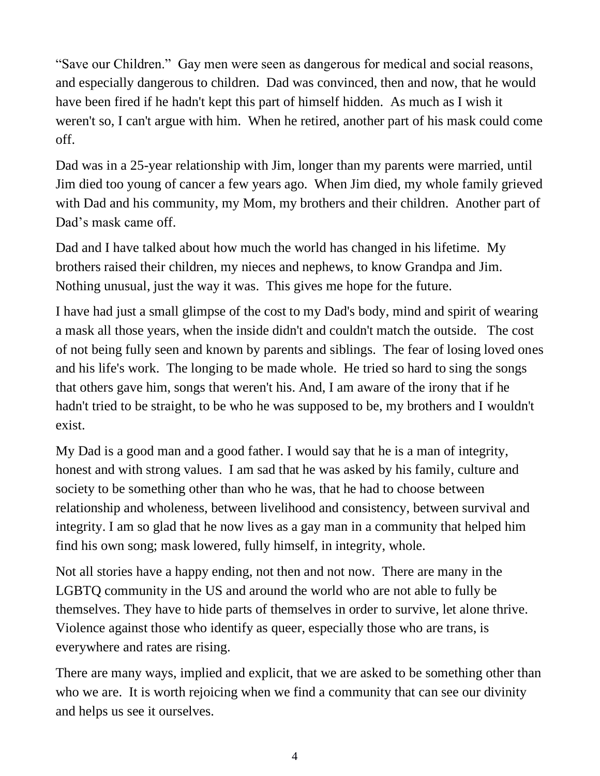"Save our Children." Gay men were seen as dangerous for medical and social reasons, and especially dangerous to children. Dad was convinced, then and now, that he would have been fired if he hadn't kept this part of himself hidden. As much as I wish it weren't so, I can't argue with him. When he retired, another part of his mask could come off.

Dad was in a 25-year relationship with Jim, longer than my parents were married, until Jim died too young of cancer a few years ago. When Jim died, my whole family grieved with Dad and his community, my Mom, my brothers and their children. Another part of Dad's mask came off.

Dad and I have talked about how much the world has changed in his lifetime. My brothers raised their children, my nieces and nephews, to know Grandpa and Jim. Nothing unusual, just the way it was. This gives me hope for the future.

I have had just a small glimpse of the cost to my Dad's body, mind and spirit of wearing a mask all those years, when the inside didn't and couldn't match the outside. The cost of not being fully seen and known by parents and siblings. The fear of losing loved ones and his life's work. The longing to be made whole. He tried so hard to sing the songs that others gave him, songs that weren't his. And, I am aware of the irony that if he hadn't tried to be straight, to be who he was supposed to be, my brothers and I wouldn't exist.

My Dad is a good man and a good father. I would say that he is a man of integrity, honest and with strong values. I am sad that he was asked by his family, culture and society to be something other than who he was, that he had to choose between relationship and wholeness, between livelihood and consistency, between survival and integrity. I am so glad that he now lives as a gay man in a community that helped him find his own song; mask lowered, fully himself, in integrity, whole.

Not all stories have a happy ending, not then and not now. There are many in the LGBTQ community in the US and around the world who are not able to fully be themselves. They have to hide parts of themselves in order to survive, let alone thrive. Violence against those who identify as queer, especially those who are trans, is everywhere and rates are rising.

There are many ways, implied and explicit, that we are asked to be something other than who we are. It is worth rejoicing when we find a community that can see our divinity and helps us see it ourselves.